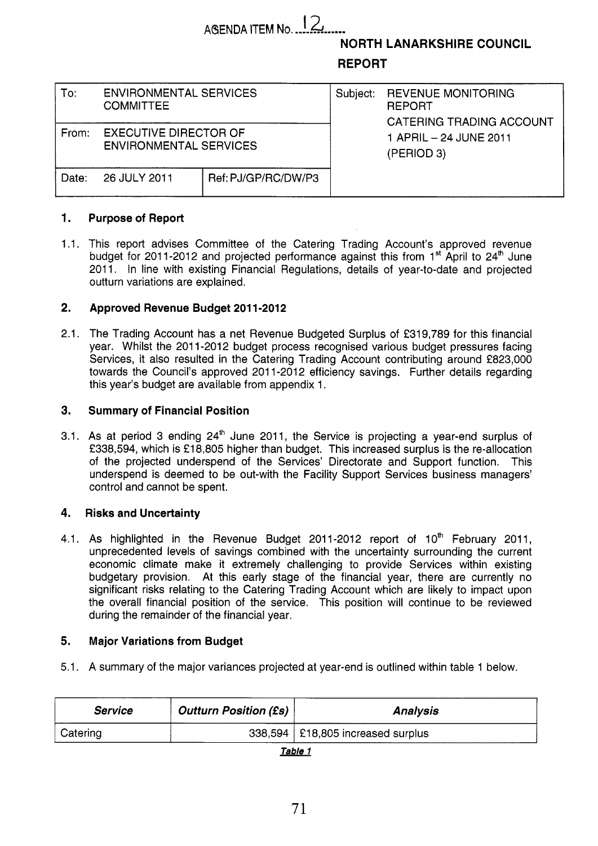# **AGENDA ITEM No.** 12

**NORTH LANARKSHIRE COUNCIL** 

## **REPORT**

| To:   | <b>ENVIRONMENTAL SERVICES</b><br><b>COMMITTEE</b>             |                     | Subject: | <b>REVENUE MONITORING</b><br><b>REPORT</b><br>CATERING TRADING ACCOUNT |  |  |
|-------|---------------------------------------------------------------|---------------------|----------|------------------------------------------------------------------------|--|--|
| From: | <b>EXECUTIVE DIRECTOR OF</b><br><b>ENVIRONMENTAL SERVICES</b> |                     |          | 1 APRIL – 24 JUNE 2011<br>(PERIOD 3)                                   |  |  |
| Date: | 26 JULY 2011                                                  | Ref: PJ/GP/RC/DW/P3 |          |                                                                        |  |  |

#### **1. Purpose of Report**

1.1. This report advises Committee of the Catering Trading Account's approved revenue budget for 2011-2012 and projected performance against this from  $1<sup>st</sup>$  April to  $24<sup>th</sup>$  June 2011. In line with existing Financial Regulations, details of year-to-date and projected outturn variations are explained.

#### **2. Approved Revenue Budget 2011-2012**

2.1. The Trading Account has a net Revenue Budgeted Surplus of €319,789 for this financial year. Whilst the 2011-2012 budget process recognised various budget pressures facing Services, it also resulted in the Catering Trading Account contributing around £823,000 towards the Council's approved 2011-2012 efficiency savings. Further details regarding this year's budget are available from appendix 1.

#### **3. Summary of Financial Position**

3.1. As at period 3 ending 24<sup>th</sup> June 2011, the Service is projecting a year-end surplus of €338,594, which is €18,805 higher than budget. This increased surplus is the re-allocation of the projected underspend of the Services' Directorate and Support function. This underspend is deemed to be out-with the Facility Support Services business managers' control and cannot be spent.

#### **4. Risks and Uncertainty**

4.1. As highlighted in the Revenue Budget 2011-2012 report of 10<sup>th</sup> February 2011, unprecedented levels of savings combined with the uncertainty surrounding the current economic climate make it extremely challenging to provide Services within existing budgetary provision. At this early stage of the financial year, there are currently no significant risks relating to the Catering Trading Account which are likely to impact upon the overall financial position of the service. This position will continue to be reviewed during the remainder of the financial year.

#### **5. Major Variations from Budget**

5.1. A summary of the major variances projected at year-end is outlined within table 1 below.

| <b>Service</b> | <b>Outturn Position (£s)</b> | <b>Analysis</b>                     |  |  |  |  |
|----------------|------------------------------|-------------------------------------|--|--|--|--|
| Catering       |                              | 338,594   £18,805 increased surplus |  |  |  |  |

|--|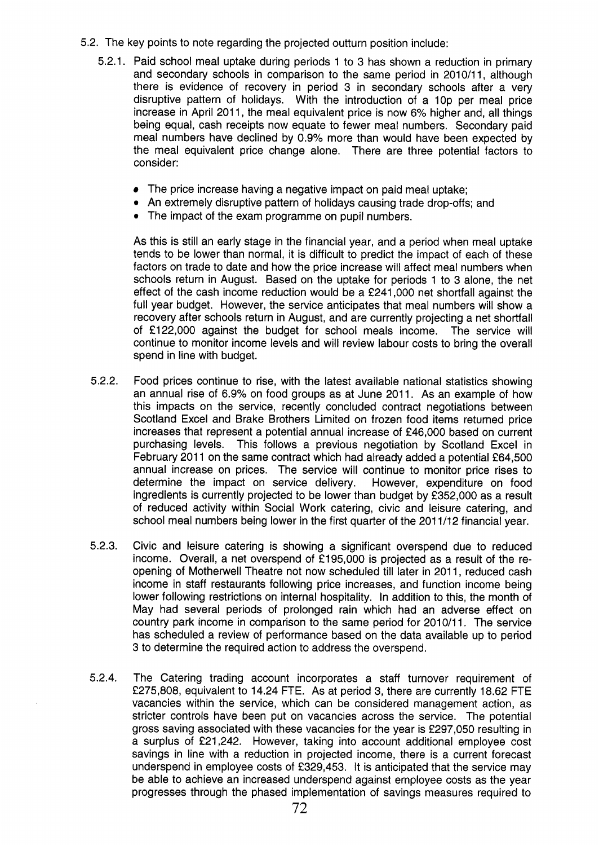- 5.2. The key points to note regarding the projected outturn position include:
	- 5.2.1. Paid school meal uptake during periods 1 to 3 has shown a reduction in primary and secondary schools in comparison to the same period in 2010/11, although there is evidence of recovery in period 3 in secondary schools after a very disruptive pattern of holidays. With the introduction of a lop per meal price increase in April 2011, the meal equivalent price is now 6% higher and, all things being equal, cash receipts now equate to fewer meal numbers. Secondary paid meal numbers have declined by 0.9% more than would have been expected by the meal equivalent price change alone. There are three potential factors to consider:
		- The price increase having a negative impact on paid meal uptake;
		- An extremely disruptive pattern of holidays causing trade drop-offs; and
		- The impact of the exam programme on pupil numbers.

As this is still an early stage in the financial year, and a period when meal uptake tends to be lower than normal, it is difficult to predict the impact of each of these factors on trade to date and how the price increase will affect meal numbers when schools return in August. Based on the uptake for periods 1 to 3 alone, the net effect of the cash income reduction would be a €241,000 net shortfall against the full year budget. However, the service anticipates that meal numbers will show a recovery after schools return in August, and are currently projecting a net shortfall of €122,000 against the budget for school meals income. The service will continue to monitor income levels and will review labour costs to bring the overall spend in line with budget.

- 5.2.2. Food prices continue to rise, with the latest available national statistics showing an annual rise of 6.9% on food groups as at June 2011. As an example of how this impacts on the service, recently concluded contract negotiations between Scotland Excel and Brake Brothers Limited on frozen food items returned price increases that represent a potential annual increase of €46,000 based on current purchasing levels. This follows a previous negotiation by Scotland Excel in February 2011 on the same contract which had already added a potential £64,500 annual increase on prices. The service will continue to monitor price rises to determine the impact on service delivery. However, expenditure on food ingredients is currently projected to be lower than budget by €352,000 as a result of reduced activity within Social Work catering, civic and leisure catering, and school meal numbers being lower in the first quarter of the 201 1/12 financial year.
- 5.2.3. Civic and leisure catering is showing a significant overspend due to reduced income. Overall, a net overspend of €195,000 is projected as a result of the reopening of Motherwell Theatre not now scheduled till later in 2011, reduced cash income in staff restaurants following price increases, and function income being lower following restrictions on internal hospitality. In addition to this, the month of May had several periods of prolonged rain which had an adverse effect on country park income in comparison to the same period for 2010/11. The service has scheduled a review of performance based on the data available up to period 3 to determine the required action to address the overspend.
- 5.2.4. The Catering trading account incorporates a staff turnover requirement of €275,808, equivalent to 14.24 FTE. As at period 3, there are currently 18.62 FTE vacancies within the service, which can be considered management action, as stricter controls have been put on vacancies across the service. The potential gross saving associated with these vacancies for the year is €297,050 resulting in a surplus of €21,242. However, taking into account additional employee cost savings in line with a reduction in projected income, there is a current forecast underspend in employee costs of f329,453. It is anticipated that the service may be able to achieve an increased underspend against employee costs as the year progresses through the phased implementation of savings measures required to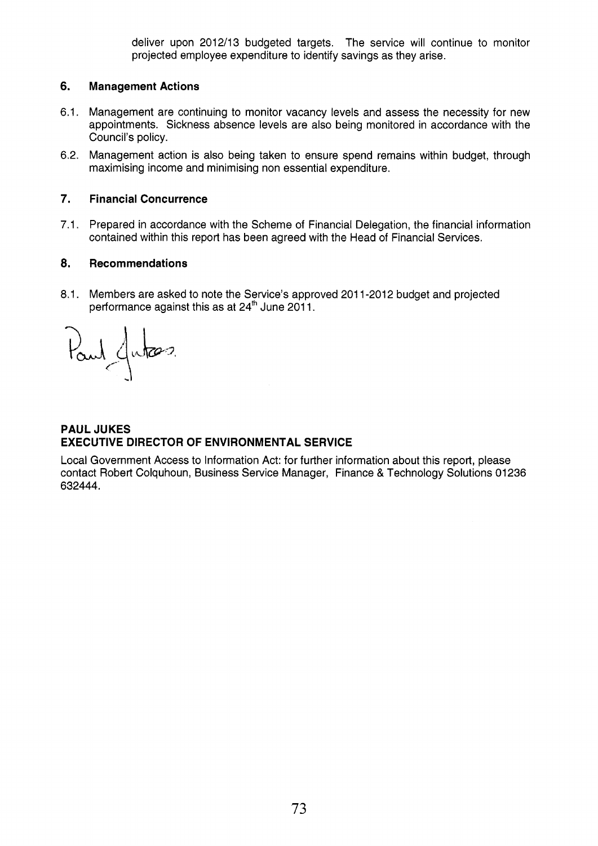deliver upon 2012/13 budgeted targets. The service will continue to monitor projected employee expenditure to identify savings as they arise.

#### **6. Management Actions**

- 6.1. Management are continuing to monitor vacancy levels and assess the necessity for new appointments. Sickness absence levels are also being monitored in accordance with the Council's policy.
- 6.2. Management action is also being taken to ensure spend remains within budget, through maximising income and minimising non essential expenditure.

#### *7.*  **Financial Concurrence**

7.1. Prepared in accordance with the Scheme of Financial Delegation, the financial information contained within this report has been agreed with the Head of Financial Services.

#### **8. Recommendations**

8.1. Members are asked to note the Service's approved 2011-2012 budget and projected performance against this as at  $24<sup>th</sup>$  June  $2011$ .

Paul Jutes

### **PAUL JUKES EXECUTIVE DIRECTOR OF ENVIRONMENTAL SERVICE**

Local Government Access to Information Act: for further information about this report, please contact Robert Colquhoun, Business Service Manager, Finance & Technology Solutions 01236 632444.